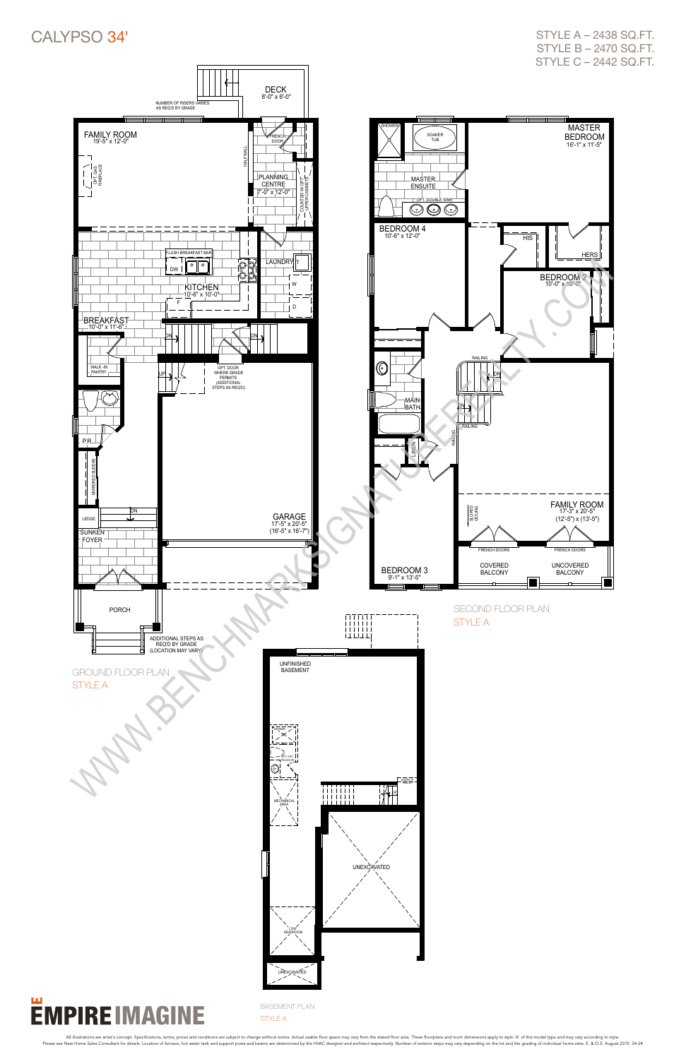

CALYPSO 34'



STYLE A – 2438 SQ.FT. STYLE B – 2470 SQ.FT. STYLE C – 2442 SQ.FT.



STYLE A

All illustrations are artist's concept. Specifications, terms, prices and conditions are subject to change without notice. Actual usable floor space may vary from the stated floor area. These floorplans and como dimensions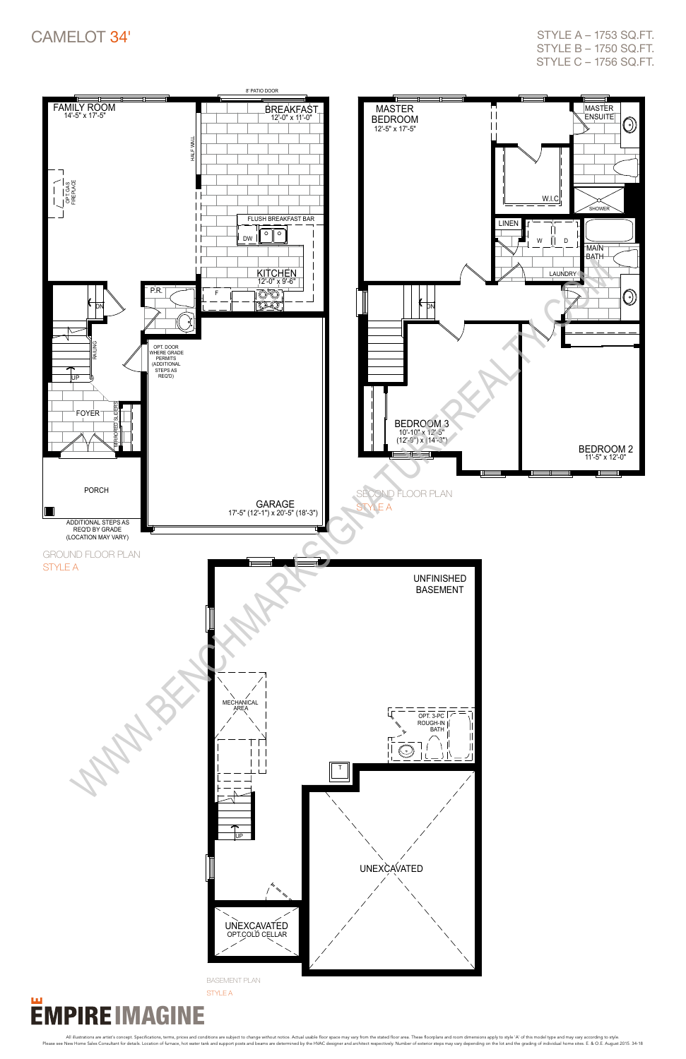

All illustrations are artist's concept. Specifications, terms, prices and conditions are subject to change without notice. Actual usable floor space may vary from the stated floor area. These floorplans and como dimensions



# CAMELOT 34'

style a – 1753 sq.ft. style b – 1750 sq.ft. style c – 1756 sq.ft.

basement plan

style A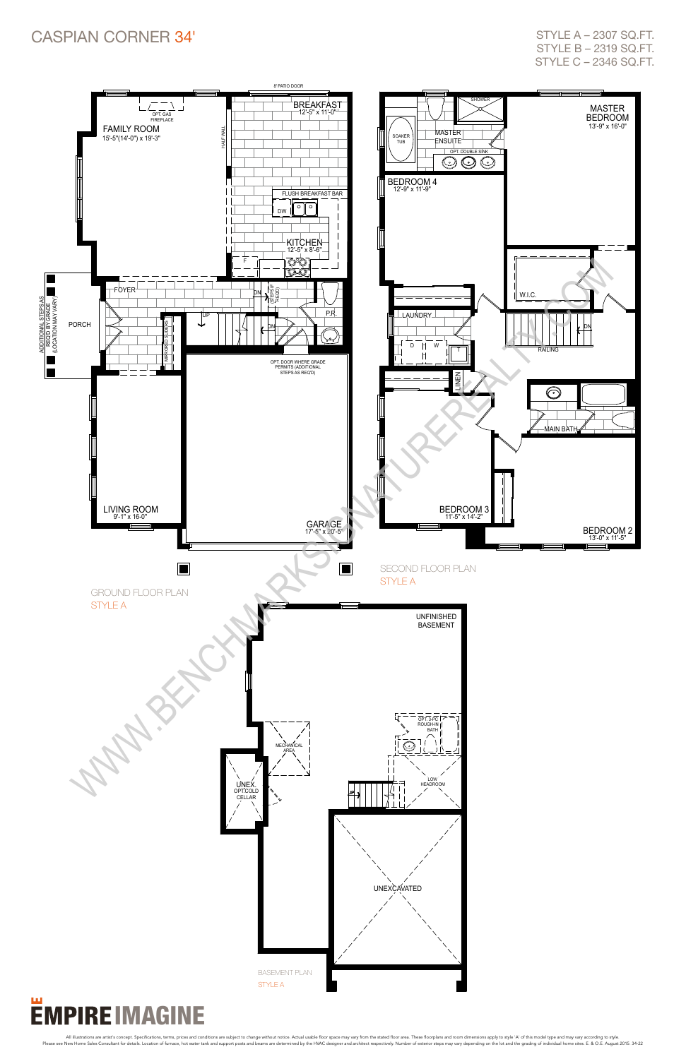

All illustrations are artist's concept. Specifications, terms, prices and conditions are subject to change without notice. Actual usable floor space may vary from the stated floor area. These floorplans and como dimensions

## Caspian corner 34'

STYLE A - 2307 SQ.FT. style b – 2319 sq.ft. style c – 2346 sq.ft.

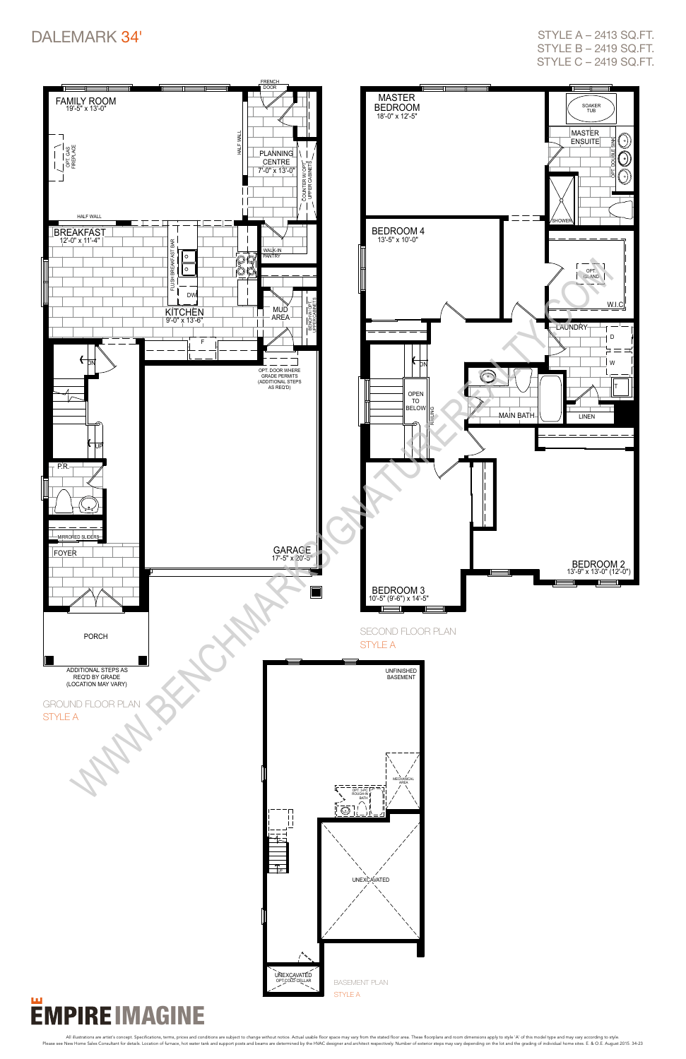

# **EMPIRE IMAGINE**

All illustrations are artist's concept. Specifications, terms, prices and conditions are subject to change without notice. Actual usable floor space may vary from the stated floor area. These floorplans and com dimensions

# DALEMARK 34'

style a – 2413 sq.ft. style b – 2419 sq.ft. style c – 2419 sq.ft.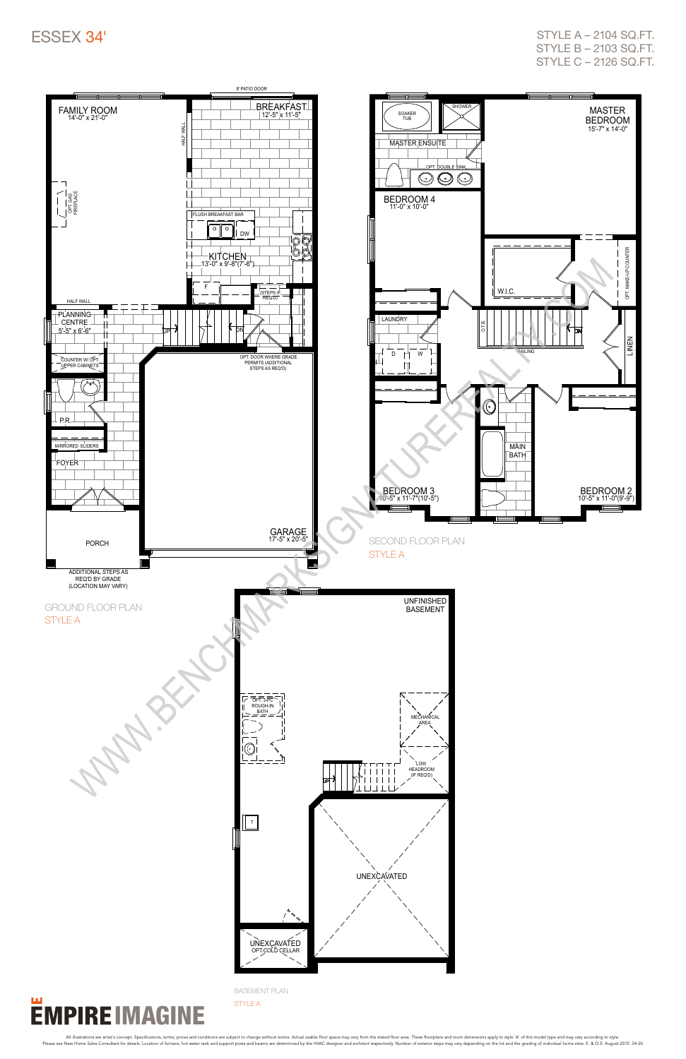### Essex 34'



#### ш **EMPIRE IMAGINE**

style a – 2104 sq.ft. style b – 2103 sq.ft. style c – 2126 sq.ft.

basement plan style A

All illustrations are artist's concept. Specifications, terms, prices and conditions are subject to change without notice. Actual usable floor space may vary from the stated floor area. These floorplans and como dimensions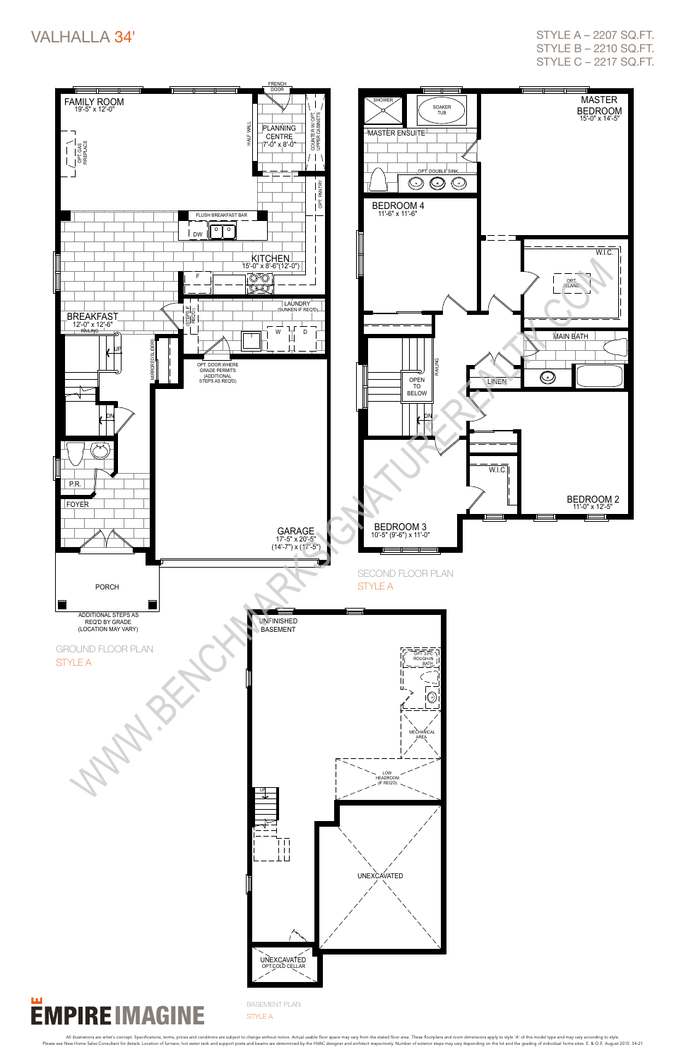

STYLE A - 2207 SQ.FT. style b – 2210 sq.ft. style c – 2217 sq.ft.



#### ш **EMPIRE IMAGINE**

basement plan style A

All illustrations are artist's concept. Specifications, terms, prices and conditions are subject to change without notice. Actual usable floor space may vary from the stated floor area. These floorplans and como dimensions